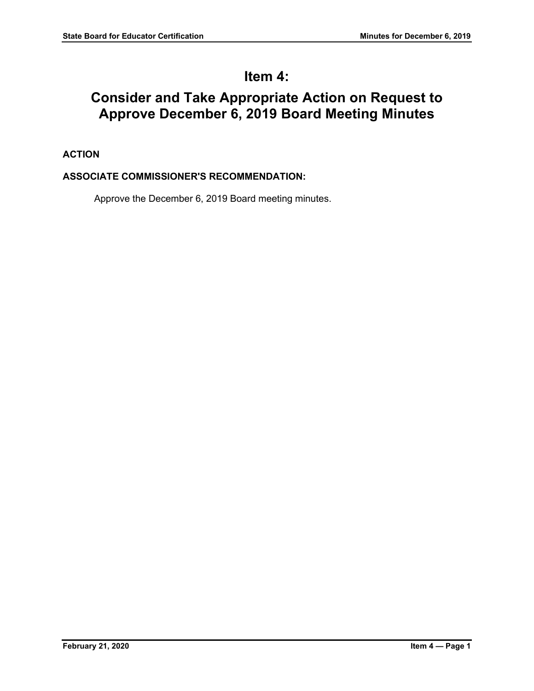# **Item 4:**

# **Consider and Take Appropriate Action on Request to Approve December 6, 2019 Board Meeting Minutes**

# **ACTION**

# **ASSOCIATE COMMISSIONER'S RECOMMENDATION:**

Approve the December 6, 2019 Board meeting minutes.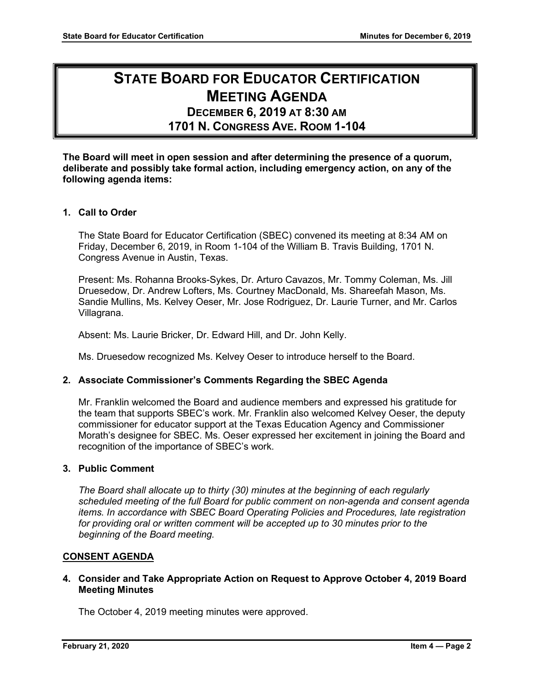# **STATE BOARD FOR EDUCATOR CERTIFICATION MEETING AGENDA**

# **DECEMBER 6, 2019 AT 8:30 AM**

**1701 N. CONGRESS AVE. ROOM 1-104**

**The Board will meet in open session and after determining the presence of a quorum, deliberate and possibly take formal action, including emergency action, on any of the following agenda items:**

### **1. Call to Order**

The State Board for Educator Certification (SBEC) convened its meeting at 8:34 AM on Friday, December 6, 2019, in Room 1-104 of the William B. Travis Building, 1701 N. Congress Avenue in Austin, Texas.

Present: Ms. Rohanna Brooks-Sykes, Dr. Arturo Cavazos, Mr. Tommy Coleman, Ms. Jill Druesedow, Dr. Andrew Lofters, Ms. Courtney MacDonald, Ms. Shareefah Mason, Ms. Sandie Mullins, Ms. Kelvey Oeser, Mr. Jose Rodriguez, Dr. Laurie Turner, and Mr. Carlos Villagrana.

Absent: Ms. Laurie Bricker, Dr. Edward Hill, and Dr. John Kelly.

Ms. Druesedow recognized Ms. Kelvey Oeser to introduce herself to the Board.

#### **2. Associate Commissioner's Comments Regarding the SBEC Agenda**

Mr. Franklin welcomed the Board and audience members and expressed his gratitude for the team that supports SBEC's work. Mr. Franklin also welcomed Kelvey Oeser, the deputy commissioner for educator support at the Texas Education Agency and Commissioner Morath's designee for SBEC. Ms. Oeser expressed her excitement in joining the Board and recognition of the importance of SBEC's work.

#### **3. Public Comment**

*The Board shall allocate up to thirty (30) minutes at the beginning of each regularly scheduled meeting of the full Board for public comment on non-agenda and consent agenda items. In accordance with SBEC Board Operating Policies and Procedures, late registration for providing oral or written comment will be accepted up to 30 minutes prior to the beginning of the Board meeting.*

#### **CONSENT AGENDA**

### **4. Consider and Take Appropriate Action on Request to Approve October 4, 2019 Board Meeting Minutes**

The October 4, 2019 meeting minutes were approved.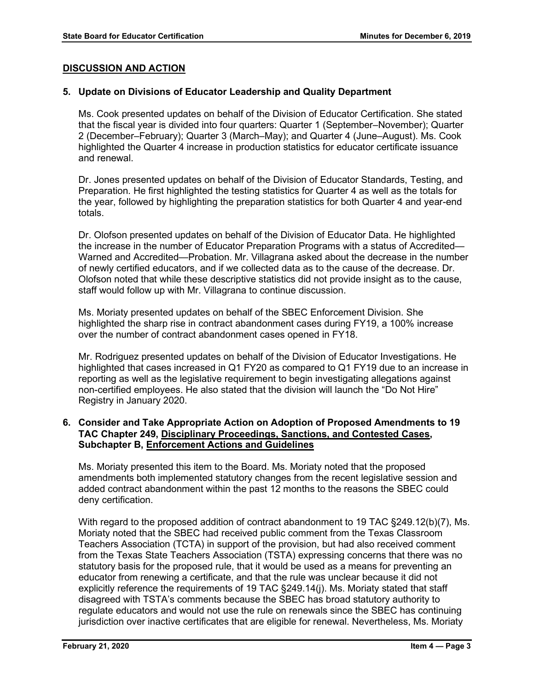# **DISCUSSION AND ACTION**

### **5. Update on Divisions of Educator Leadership and Quality Department**

Ms. Cook presented updates on behalf of the Division of Educator Certification. She stated that the fiscal year is divided into four quarters: Quarter 1 (September–November); Quarter 2 (December–February); Quarter 3 (March–May); and Quarter 4 (June–August). Ms. Cook highlighted the Quarter 4 increase in production statistics for educator certificate issuance and renewal.

Dr. Jones presented updates on behalf of the Division of Educator Standards, Testing, and Preparation. He first highlighted the testing statistics for Quarter 4 as well as the totals for the year, followed by highlighting the preparation statistics for both Quarter 4 and year-end totals.

Dr. Olofson presented updates on behalf of the Division of Educator Data. He highlighted the increase in the number of Educator Preparation Programs with a status of Accredited— Warned and Accredited—Probation. Mr. Villagrana asked about the decrease in the number of newly certified educators, and if we collected data as to the cause of the decrease. Dr. Olofson noted that while these descriptive statistics did not provide insight as to the cause, staff would follow up with Mr. Villagrana to continue discussion.

Ms. Moriaty presented updates on behalf of the SBEC Enforcement Division. She highlighted the sharp rise in contract abandonment cases during FY19, a 100% increase over the number of contract abandonment cases opened in FY18.

Mr. Rodriguez presented updates on behalf of the Division of Educator Investigations. He highlighted that cases increased in Q1 FY20 as compared to Q1 FY19 due to an increase in reporting as well as the legislative requirement to begin investigating allegations against non-certified employees. He also stated that the division will launch the "Do Not Hire" Registry in January 2020.

# **6. Consider and Take Appropriate Action on Adoption of Proposed Amendments to 19 TAC Chapter 249, Disciplinary Proceedings, Sanctions, and Contested Cases, Subchapter B, Enforcement Actions and Guidelines**

Ms. Moriaty presented this item to the Board. Ms. Moriaty noted that the proposed amendments both implemented statutory changes from the recent legislative session and added contract abandonment within the past 12 months to the reasons the SBEC could deny certification.

With regard to the proposed addition of contract abandonment to 19 TAC §249.12(b)(7), Ms. Moriaty noted that the SBEC had received public comment from the Texas Classroom Teachers Association (TCTA) in support of the provision, but had also received comment from the Texas State Teachers Association (TSTA) expressing concerns that there was no statutory basis for the proposed rule, that it would be used as a means for preventing an educator from renewing a certificate, and that the rule was unclear because it did not explicitly reference the requirements of 19 TAC §249.14(j). Ms. Moriaty stated that staff disagreed with TSTA's comments because the SBEC has broad statutory authority to regulate educators and would not use the rule on renewals since the SBEC has continuing jurisdiction over inactive certificates that are eligible for renewal. Nevertheless, Ms. Moriaty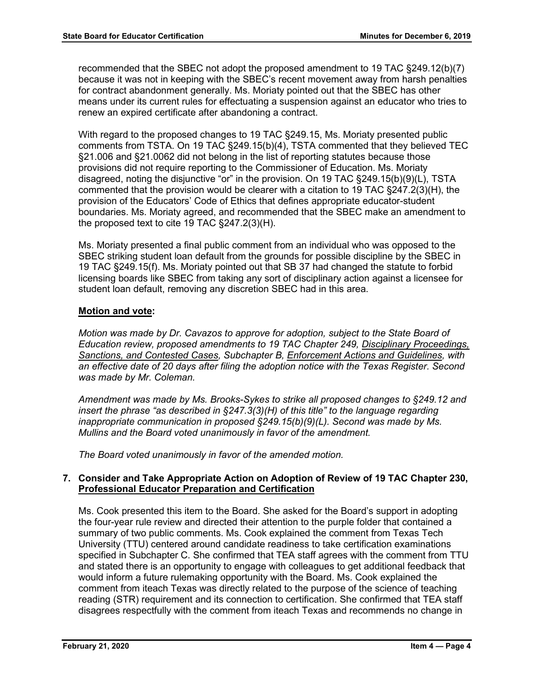recommended that the SBEC not adopt the proposed amendment to 19 TAC §249.12(b)(7) because it was not in keeping with the SBEC's recent movement away from harsh penalties for contract abandonment generally. Ms. Moriaty pointed out that the SBEC has other means under its current rules for effectuating a suspension against an educator who tries to renew an expired certificate after abandoning a contract.

With regard to the proposed changes to 19 TAC §249.15, Ms. Moriaty presented public comments from TSTA. On 19 TAC §249.15(b)(4), TSTA commented that they believed TEC §21.006 and §21.0062 did not belong in the list of reporting statutes because those provisions did not require reporting to the Commissioner of Education. Ms. Moriaty disagreed, noting the disjunctive "or" in the provision. On 19 TAC §249.15(b)(9)(L), TSTA commented that the provision would be clearer with a citation to 19 TAC §247.2(3)(H), the provision of the Educators' Code of Ethics that defines appropriate educator-student boundaries. Ms. Moriaty agreed, and recommended that the SBEC make an amendment to the proposed text to cite 19 TAC §247.2(3)(H).

Ms. Moriaty presented a final public comment from an individual who was opposed to the SBEC striking student loan default from the grounds for possible discipline by the SBEC in 19 TAC §249.15(f). Ms. Moriaty pointed out that SB 37 had changed the statute to forbid licensing boards like SBEC from taking any sort of disciplinary action against a licensee for student loan default, removing any discretion SBEC had in this area.

# **Motion and vote:**

*Motion was made by Dr. Cavazos to approve for adoption, subject to the State Board of Education review, proposed amendments to 19 TAC Chapter 249, Disciplinary Proceedings, Sanctions, and Contested Cases, Subchapter B, Enforcement Actions and Guidelines, with an effective date of 20 days after filing the adoption notice with the Texas Register. Second was made by Mr. Coleman.* 

*Amendment was made by Ms. Brooks-Sykes to strike all proposed changes to §249.12 and insert the phrase "as described in §247.3(3)(H) of this title" to the language regarding inappropriate communication in proposed §249.15(b)(9)(L). Second was made by Ms. Mullins and the Board voted unanimously in favor of the amendment.*

*The Board voted unanimously in favor of the amended motion.*

# **7. Consider and Take Appropriate Action on Adoption of Review of 19 TAC Chapter 230, Professional Educator Preparation and Certification**

Ms. Cook presented this item to the Board. She asked for the Board's support in adopting the four-year rule review and directed their attention to the purple folder that contained a summary of two public comments. Ms. Cook explained the comment from Texas Tech University (TTU) centered around candidate readiness to take certification examinations specified in Subchapter C. She confirmed that TEA staff agrees with the comment from TTU and stated there is an opportunity to engage with colleagues to get additional feedback that would inform a future rulemaking opportunity with the Board. Ms. Cook explained the comment from iteach Texas was directly related to the purpose of the science of teaching reading (STR) requirement and its connection to certification. She confirmed that TEA staff disagrees respectfully with the comment from iteach Texas and recommends no change in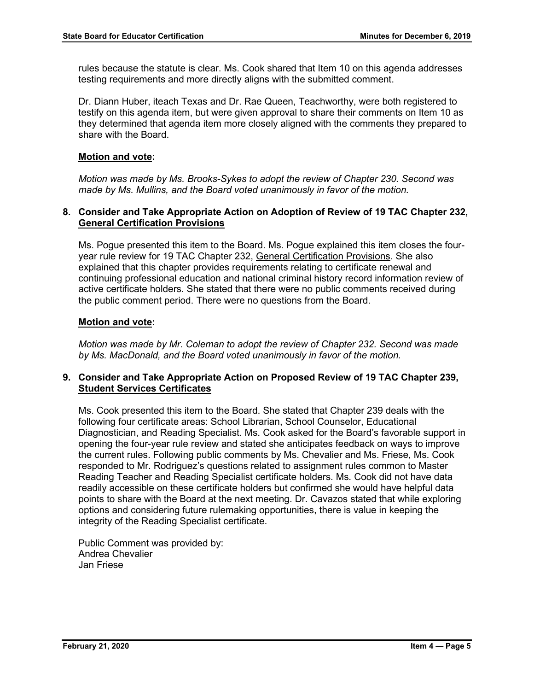rules because the statute is clear. Ms. Cook shared that Item 10 on this agenda addresses testing requirements and more directly aligns with the submitted comment.

Dr. Diann Huber, iteach Texas and Dr. Rae Queen, Teachworthy, were both registered to testify on this agenda item, but were given approval to share their comments on Item 10 as they determined that agenda item more closely aligned with the comments they prepared to share with the Board.

### **Motion and vote:**

*Motion was made by Ms. Brooks-Sykes to adopt the review of Chapter 230. Second was made by Ms. Mullins, and the Board voted unanimously in favor of the motion.*

### **8. Consider and Take Appropriate Action on Adoption of Review of 19 TAC Chapter 232, General Certification Provisions**

Ms. Pogue presented this item to the Board. Ms. Pogue explained this item closes the fouryear rule review for 19 TAC Chapter 232, General Certification Provisions. She also explained that this chapter provides requirements relating to certificate renewal and continuing professional education and national criminal history record information review of active certificate holders. She stated that there were no public comments received during the public comment period. There were no questions from the Board.

#### **Motion and vote:**

*Motion was made by Mr. Coleman to adopt the review of Chapter 232. Second was made by Ms. MacDonald, and the Board voted unanimously in favor of the motion.*

### **9. Consider and Take Appropriate Action on Proposed Review of 19 TAC Chapter 239, Student Services Certificates**

Ms. Cook presented this item to the Board. She stated that Chapter 239 deals with the following four certificate areas: School Librarian, School Counselor, Educational Diagnostician, and Reading Specialist. Ms. Cook asked for the Board's favorable support in opening the four-year rule review and stated she anticipates feedback on ways to improve the current rules. Following public comments by Ms. Chevalier and Ms. Friese, Ms. Cook responded to Mr. Rodriguez's questions related to assignment rules common to Master Reading Teacher and Reading Specialist certificate holders. Ms. Cook did not have data readily accessible on these certificate holders but confirmed she would have helpful data points to share with the Board at the next meeting. Dr. Cavazos stated that while exploring options and considering future rulemaking opportunities, there is value in keeping the integrity of the Reading Specialist certificate.

Public Comment was provided by: Andrea Chevalier Jan Friese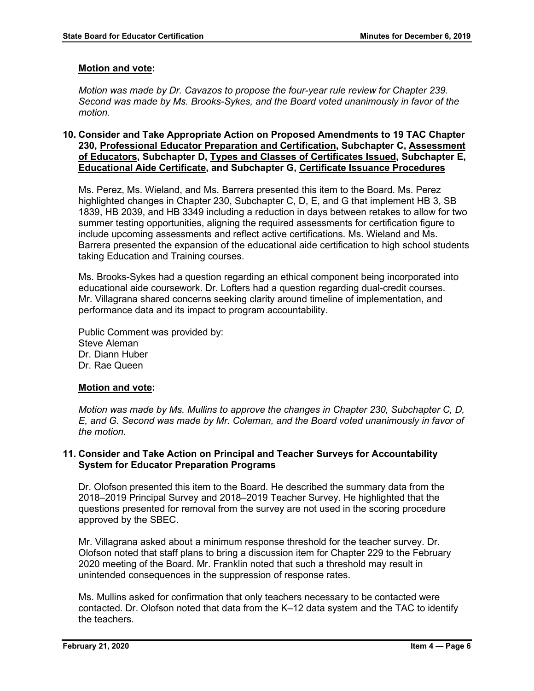# **Motion and vote:**

*Motion was made by Dr. Cavazos to propose the four-year rule review for Chapter 239. Second was made by Ms. Brooks-Sykes, and the Board voted unanimously in favor of the motion.*

### **10. Consider and Take Appropriate Action on Proposed Amendments to 19 TAC Chapter 230, Professional Educator Preparation and Certification, Subchapter C, Assessment of Educators, Subchapter D, Types and Classes of Certificates Issued, Subchapter E, Educational Aide Certificate, and Subchapter G, Certificate Issuance Procedures**

Ms. Perez, Ms. Wieland, and Ms. Barrera presented this item to the Board. Ms. Perez highlighted changes in Chapter 230, Subchapter C, D, E, and G that implement HB 3, SB 1839, HB 2039, and HB 3349 including a reduction in days between retakes to allow for two summer testing opportunities, aligning the required assessments for certification figure to include upcoming assessments and reflect active certifications. Ms. Wieland and Ms. Barrera presented the expansion of the educational aide certification to high school students taking Education and Training courses.

Ms. Brooks-Sykes had a question regarding an ethical component being incorporated into educational aide coursework. Dr. Lofters had a question regarding dual-credit courses. Mr. Villagrana shared concerns seeking clarity around timeline of implementation, and performance data and its impact to program accountability.

Public Comment was provided by: Steve Aleman Dr. Diann Huber Dr. Rae Queen

#### **Motion and vote:**

*Motion was made by Ms. Mullins to approve the changes in Chapter 230, Subchapter C, D, E, and G. Second was made by Mr. Coleman, and the Board voted unanimously in favor of the motion.*

#### **11. Consider and Take Action on Principal and Teacher Surveys for Accountability System for Educator Preparation Programs**

Dr. Olofson presented this item to the Board. He described the summary data from the 2018–2019 Principal Survey and 2018–2019 Teacher Survey. He highlighted that the questions presented for removal from the survey are not used in the scoring procedure approved by the SBEC.

Mr. Villagrana asked about a minimum response threshold for the teacher survey. Dr. Olofson noted that staff plans to bring a discussion item for Chapter 229 to the February 2020 meeting of the Board. Mr. Franklin noted that such a threshold may result in unintended consequences in the suppression of response rates.

Ms. Mullins asked for confirmation that only teachers necessary to be contacted were contacted. Dr. Olofson noted that data from the K–12 data system and the TAC to identify the teachers.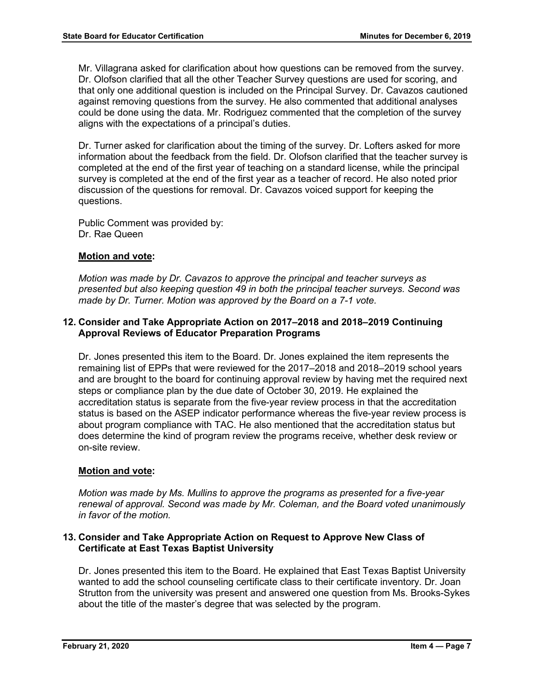Mr. Villagrana asked for clarification about how questions can be removed from the survey. Dr. Olofson clarified that all the other Teacher Survey questions are used for scoring, and that only one additional question is included on the Principal Survey. Dr. Cavazos cautioned against removing questions from the survey. He also commented that additional analyses could be done using the data. Mr. Rodriguez commented that the completion of the survey aligns with the expectations of a principal's duties.

Dr. Turner asked for clarification about the timing of the survey. Dr. Lofters asked for more information about the feedback from the field. Dr. Olofson clarified that the teacher survey is completed at the end of the first year of teaching on a standard license, while the principal survey is completed at the end of the first year as a teacher of record. He also noted prior discussion of the questions for removal. Dr. Cavazos voiced support for keeping the questions.

Public Comment was provided by: Dr. Rae Queen

### **Motion and vote:**

*Motion was made by Dr. Cavazos to approve the principal and teacher surveys as presented but also keeping question 49 in both the principal teacher surveys. Second was made by Dr. Turner. Motion was approved by the Board on a 7-1 vote.*

### **12. Consider and Take Appropriate Action on 2017–2018 and 2018–2019 Continuing Approval Reviews of Educator Preparation Programs**

Dr. Jones presented this item to the Board. Dr. Jones explained the item represents the remaining list of EPPs that were reviewed for the 2017–2018 and 2018–2019 school years and are brought to the board for continuing approval review by having met the required next steps or compliance plan by the due date of October 30, 2019. He explained the accreditation status is separate from the five-year review process in that the accreditation status is based on the ASEP indicator performance whereas the five-year review process is about program compliance with TAC. He also mentioned that the accreditation status but does determine the kind of program review the programs receive, whether desk review or on-site review.

#### **Motion and vote:**

*Motion was made by Ms. Mullins to approve the programs as presented for a five-year renewal of approval. Second was made by Mr. Coleman, and the Board voted unanimously in favor of the motion.*

### **13. Consider and Take Appropriate Action on Request to Approve New Class of Certificate at East Texas Baptist University**

Dr. Jones presented this item to the Board. He explained that East Texas Baptist University wanted to add the school counseling certificate class to their certificate inventory. Dr. Joan Strutton from the university was present and answered one question from Ms. Brooks-Sykes about the title of the master's degree that was selected by the program.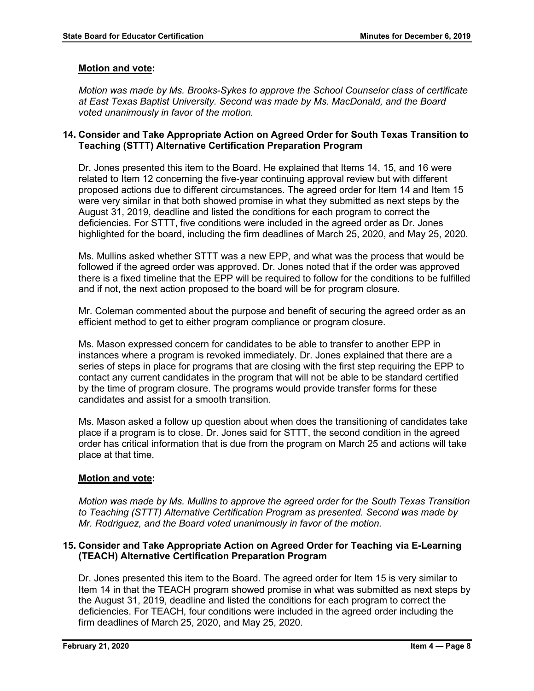# **Motion and vote:**

*Motion was made by Ms. Brooks-Sykes to approve the School Counselor class of certificate at East Texas Baptist University. Second was made by Ms. MacDonald, and the Board voted unanimously in favor of the motion.*

# **14. Consider and Take Appropriate Action on Agreed Order for South Texas Transition to Teaching (STTT) Alternative Certification Preparation Program**

Dr. Jones presented this item to the Board. He explained that Items 14, 15, and 16 were related to Item 12 concerning the five-year continuing approval review but with different proposed actions due to different circumstances. The agreed order for Item 14 and Item 15 were very similar in that both showed promise in what they submitted as next steps by the August 31, 2019, deadline and listed the conditions for each program to correct the deficiencies. For STTT, five conditions were included in the agreed order as Dr. Jones highlighted for the board, including the firm deadlines of March 25, 2020, and May 25, 2020.

Ms. Mullins asked whether STTT was a new EPP, and what was the process that would be followed if the agreed order was approved. Dr. Jones noted that if the order was approved there is a fixed timeline that the EPP will be required to follow for the conditions to be fulfilled and if not, the next action proposed to the board will be for program closure.

Mr. Coleman commented about the purpose and benefit of securing the agreed order as an efficient method to get to either program compliance or program closure.

Ms. Mason expressed concern for candidates to be able to transfer to another EPP in instances where a program is revoked immediately. Dr. Jones explained that there are a series of steps in place for programs that are closing with the first step requiring the EPP to contact any current candidates in the program that will not be able to be standard certified by the time of program closure. The programs would provide transfer forms for these candidates and assist for a smooth transition.

Ms. Mason asked a follow up question about when does the transitioning of candidates take place if a program is to close. Dr. Jones said for STTT, the second condition in the agreed order has critical information that is due from the program on March 25 and actions will take place at that time.

# **Motion and vote:**

*Motion was made by Ms. Mullins to approve the agreed order for the South Texas Transition to Teaching (STTT) Alternative Certification Program as presented. Second was made by Mr. Rodriguez, and the Board voted unanimously in favor of the motion.*

### **15. Consider and Take Appropriate Action on Agreed Order for Teaching via E-Learning (TEACH) Alternative Certification Preparation Program**

Dr. Jones presented this item to the Board. The agreed order for Item 15 is very similar to Item 14 in that the TEACH program showed promise in what was submitted as next steps by the August 31, 2019, deadline and listed the conditions for each program to correct the deficiencies. For TEACH, four conditions were included in the agreed order including the firm deadlines of March 25, 2020, and May 25, 2020.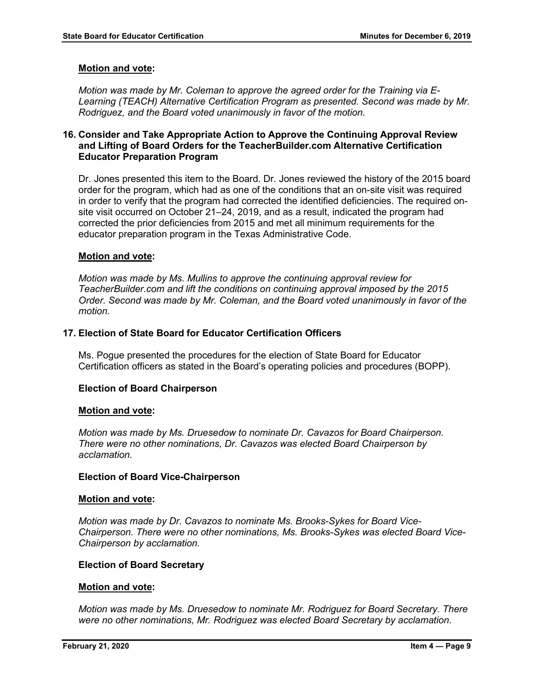#### **Motion and vote:**

*Motion was made by Mr. Coleman to approve the agreed order for the Training via E-Learning (TEACH) Alternative Certification Program as presented. Second was made by Mr. Rodriguez, and the Board voted unanimously in favor of the motion.*

# **16. Consider and Take Appropriate Action to Approve the Continuing Approval Review and Lifting of Board Orders for the TeacherBuilder.com Alternative Certification Educator Preparation Program**

Dr. Jones presented this item to the Board. Dr. Jones reviewed the history of the 2015 board order for the program, which had as one of the conditions that an on-site visit was required in order to verify that the program had corrected the identified deficiencies. The required onsite visit occurred on October 21–24, 2019, and as a result, indicated the program had corrected the prior deficiencies from 2015 and met all minimum requirements for the educator preparation program in the Texas Administrative Code.

### **Motion and vote:**

*Motion was made by Ms. Mullins to approve the continuing approval review for TeacherBuilder.com and lift the conditions on continuing approval imposed by the 2015 Order. Second was made by Mr. Coleman, and the Board voted unanimously in favor of the motion.*

### **17. Election of State Board for Educator Certification Officers**

Ms. Pogue presented the procedures for the election of State Board for Educator Certification officers as stated in the Board's operating policies and procedures (BOPP).

#### **Election of Board Chairperson**

#### **Motion and vote:**

*Motion was made by Ms. Druesedow to nominate Dr. Cavazos for Board Chairperson. There were no other nominations, Dr. Cavazos was elected Board Chairperson by acclamation.*

#### **Election of Board Vice-Chairperson**

#### **Motion and vote:**

*Motion was made by Dr. Cavazos to nominate Ms. Brooks-Sykes for Board Vice-Chairperson. There were no other nominations, Ms. Brooks-Sykes was elected Board Vice-Chairperson by acclamation.*

#### **Election of Board Secretary**

#### **Motion and vote:**

*Motion was made by Ms. Druesedow to nominate Mr. Rodriguez for Board Secretary. There were no other nominations, Mr. Rodriguez was elected Board Secretary by acclamation.*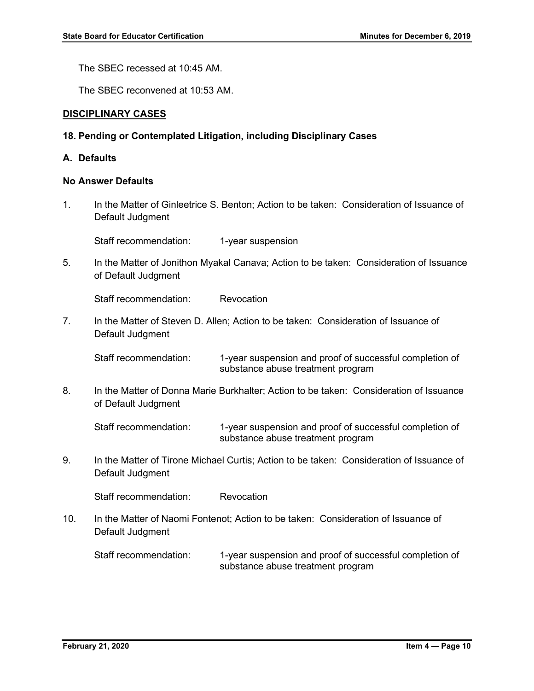The SBEC recessed at 10:45 AM.

The SBEC reconvened at 10:53 AM.

#### **DISCIPLINARY CASES**

### **18. Pending or Contemplated Litigation, including Disciplinary Cases**

# **A. Defaults**

#### **No Answer Defaults**

1. In the Matter of Ginleetrice S. Benton; Action to be taken: Consideration of Issuance of Default Judgment

Staff recommendation: 1-year suspension

5. In the Matter of Jonithon Myakal Canava; Action to be taken: Consideration of Issuance of Default Judgment

Staff recommendation: Revocation

7. In the Matter of Steven D. Allen; Action to be taken: Consideration of Issuance of Default Judgment

Staff recommendation: 1-year suspension and proof of successful completion of substance abuse treatment program

8. In the Matter of Donna Marie Burkhalter; Action to be taken: Consideration of Issuance of Default Judgment

Staff recommendation: 1-year suspension and proof of successful completion of substance abuse treatment program

9. In the Matter of Tirone Michael Curtis; Action to be taken: Consideration of Issuance of Default Judgment

Staff recommendation: Revocation

10. In the Matter of Naomi Fontenot; Action to be taken: Consideration of Issuance of Default Judgment

Staff recommendation: 1-year suspension and proof of successful completion of substance abuse treatment program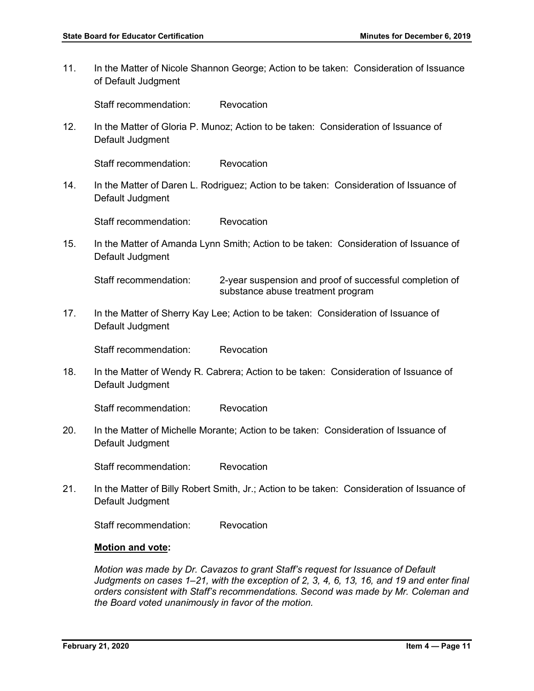11. In the Matter of Nicole Shannon George; Action to be taken: Consideration of Issuance of Default Judgment

Staff recommendation: Revocation

12. In the Matter of Gloria P. Munoz; Action to be taken: Consideration of Issuance of Default Judgment

Staff recommendation: Revocation

14. In the Matter of Daren L. Rodriguez; Action to be taken: Consideration of Issuance of Default Judgment

Staff recommendation: Revocation

15. In the Matter of Amanda Lynn Smith; Action to be taken: Consideration of Issuance of Default Judgment

Staff recommendation: 2-year suspension and proof of successful completion of substance abuse treatment program

17. In the Matter of Sherry Kay Lee; Action to be taken: Consideration of Issuance of Default Judgment

Staff recommendation: Revocation

18. In the Matter of Wendy R. Cabrera; Action to be taken: Consideration of Issuance of Default Judgment

Staff recommendation: Revocation

20. In the Matter of Michelle Morante; Action to be taken: Consideration of Issuance of Default Judgment

Staff recommendation: Revocation

21. In the Matter of Billy Robert Smith, Jr.; Action to be taken: Consideration of Issuance of Default Judgment

Staff recommendation: Revocation

#### **Motion and vote:**

*Motion was made by Dr. Cavazos to grant Staff's request for Issuance of Default Judgments on cases 1–21, with the exception of 2, 3, 4, 6, 13, 16, and 19 and enter final orders consistent with Staff's recommendations. Second was made by Mr. Coleman and the Board voted unanimously in favor of the motion.*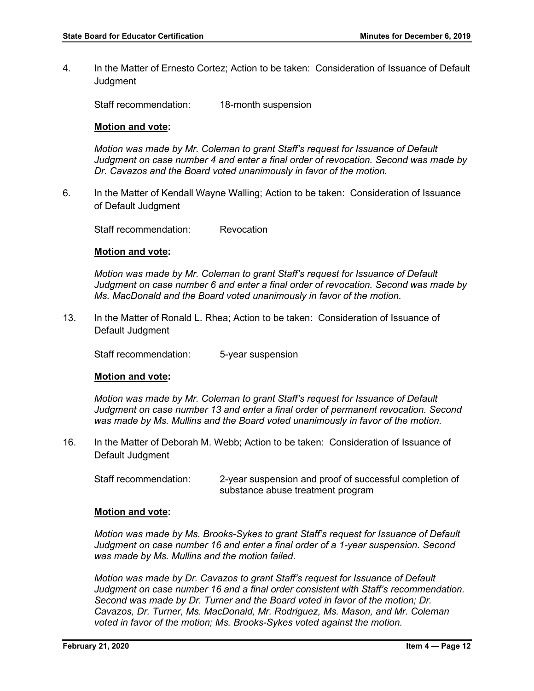4. In the Matter of Ernesto Cortez; Action to be taken: Consideration of Issuance of Default **Judgment** 

Staff recommendation: 18-month suspension

#### **Motion and vote:**

*Motion was made by Mr. Coleman to grant Staff's request for Issuance of Default Judgment on case number 4 and enter a final order of revocation. Second was made by Dr. Cavazos and the Board voted unanimously in favor of the motion.*

6. In the Matter of Kendall Wayne Walling; Action to be taken: Consideration of Issuance of Default Judgment

Staff recommendation: Revocation

### **Motion and vote:**

*Motion was made by Mr. Coleman to grant Staff's request for Issuance of Default Judgment on case number 6 and enter a final order of revocation. Second was made by Ms. MacDonald and the Board voted unanimously in favor of the motion.*

13. In the Matter of Ronald L. Rhea; Action to be taken: Consideration of Issuance of Default Judgment

Staff recommendation: 5-year suspension

#### **Motion and vote:**

*Motion was made by Mr. Coleman to grant Staff's request for Issuance of Default Judgment on case number 13 and enter a final order of permanent revocation. Second was made by Ms. Mullins and the Board voted unanimously in favor of the motion.*

16. In the Matter of Deborah M. Webb; Action to be taken: Consideration of Issuance of Default Judgment

Staff recommendation: 2-year suspension and proof of successful completion of substance abuse treatment program

#### **Motion and vote:**

*Motion was made by Ms. Brooks-Sykes to grant Staff's request for Issuance of Default Judgment on case number 16 and enter a final order of a 1-year suspension. Second was made by Ms. Mullins and the motion failed.*

*Motion was made by Dr. Cavazos to grant Staff's request for Issuance of Default Judgment on case number 16 and a final order consistent with Staff's recommendation. Second was made by Dr. Turner and the Board voted in favor of the motion; Dr. Cavazos, Dr. Turner, Ms. MacDonald, Mr. Rodriguez, Ms. Mason, and Mr. Coleman voted in favor of the motion; Ms. Brooks-Sykes voted against the motion.*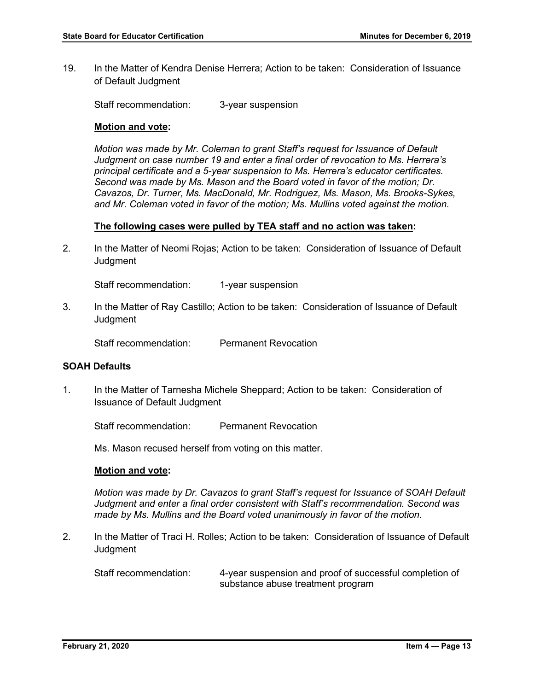19. In the Matter of Kendra Denise Herrera; Action to be taken: Consideration of Issuance of Default Judgment

Staff recommendation: 3-year suspension

#### **Motion and vote:**

*Motion was made by Mr. Coleman to grant Staff's request for Issuance of Default Judgment on case number 19 and enter a final order of revocation to Ms. Herrera's principal certificate and a 5-year suspension to Ms. Herrera's educator certificates. Second was made by Ms. Mason and the Board voted in favor of the motion; Dr. Cavazos, Dr. Turner, Ms. MacDonald, Mr. Rodriguez, Ms. Mason, Ms. Brooks-Sykes, and Mr. Coleman voted in favor of the motion; Ms. Mullins voted against the motion.* 

#### **The following cases were pulled by TEA staff and no action was taken:**

2. In the Matter of Neomi Rojas; Action to be taken: Consideration of Issuance of Default **Judgment** 

Staff recommendation: 1-year suspension

3. In the Matter of Ray Castillo; Action to be taken: Consideration of Issuance of Default **Judgment** 

Staff recommendation: Permanent Revocation

#### **SOAH Defaults**

1. In the Matter of Tarnesha Michele Sheppard; Action to be taken: Consideration of Issuance of Default Judgment

Staff recommendation: Permanent Revocation

Ms. Mason recused herself from voting on this matter.

#### **Motion and vote:**

*Motion was made by Dr. Cavazos to grant Staff's request for Issuance of SOAH Default Judgment and enter a final order consistent with Staff's recommendation. Second was made by Ms. Mullins and the Board voted unanimously in favor of the motion.*

2. In the Matter of Traci H. Rolles; Action to be taken: Consideration of Issuance of Default **Judgment** 

Staff recommendation: 4-year suspension and proof of successful completion of substance abuse treatment program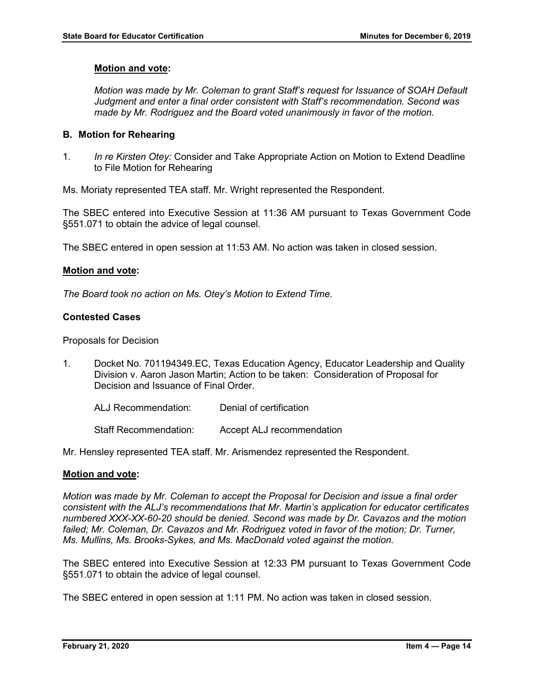### **Motion and vote:**

*Motion was made by Mr. Coleman to grant Staff's request for Issuance of SOAH Default Judgment and enter a final order consistent with Staff's recommendation. Second was made by Mr. Rodriguez and the Board voted unanimously in favor of the motion.* 

# **B. Motion for Rehearing**

1. *In re Kirsten Otey:* Consider and Take Appropriate Action on Motion to Extend Deadline to File Motion for Rehearing

Ms. Moriaty represented TEA staff. Mr. Wright represented the Respondent.

The SBEC entered into Executive Session at 11:36 AM pursuant to Texas Government Code §551.071 to obtain the advice of legal counsel.

The SBEC entered in open session at 11:53 AM. No action was taken in closed session.

#### **Motion and vote:**

*The Board took no action on Ms. Otey's Motion to Extend Time.*

#### **Contested Cases**

Proposals for Decision

1. Docket No. 701194349.EC, Texas Education Agency, Educator Leadership and Quality Division v. Aaron Jason Martin; Action to be taken: Consideration of Proposal for Decision and Issuance of Final Order.

ALJ Recommendation: Denial of certification

Staff Recommendation: Accept ALJ recommendation

Mr. Hensley represented TEA staff. Mr. Arismendez represented the Respondent.

#### **Motion and vote:**

*Motion was made by Mr. Coleman to accept the Proposal for Decision and issue a final order consistent with the ALJ's recommendations that Mr. Martin's application for educator certificates numbered XXX-XX-60-20 should be denied. Second was made by Dr. Cavazos and the motion*  failed; Mr. Coleman, Dr. Cavazos and Mr. Rodriguez voted in favor of the motion; Dr. Turner, *Ms. Mullins, Ms. Brooks-Sykes, and Ms. MacDonald voted against the motion.*

The SBEC entered into Executive Session at 12:33 PM pursuant to Texas Government Code §551.071 to obtain the advice of legal counsel.

The SBEC entered in open session at 1:11 PM. No action was taken in closed session.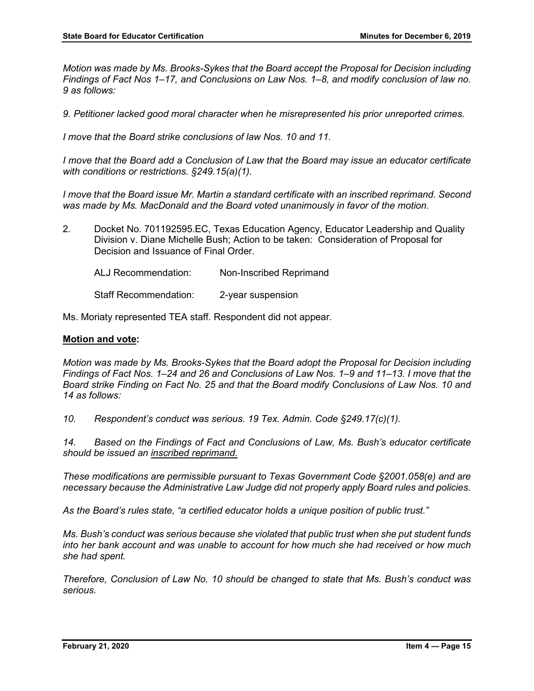*Motion was made by Ms. Brooks-Sykes that the Board accept the Proposal for Decision including Findings of Fact Nos 1–17, and Conclusions on Law Nos. 1–8, and modify conclusion of law no. 9 as follows:* 

*9. Petitioner lacked good moral character when he misrepresented his prior unreported crimes.* 

*I move that the Board strike conclusions of law Nos. 10 and 11.*

*I move that the Board add a Conclusion of Law that the Board may issue an educator certificate with conditions or restrictions. §249.15(a)(1).*

*I move that the Board issue Mr. Martin a standard certificate with an inscribed reprimand. Second was made by Ms. MacDonald and the Board voted unanimously in favor of the motion.*

2. Docket No. 701192595.EC, Texas Education Agency, Educator Leadership and Quality Division v. Diane Michelle Bush; Action to be taken: Consideration of Proposal for Decision and Issuance of Final Order.

ALJ Recommendation: Non-Inscribed Reprimand

Staff Recommendation: 2-year suspension

Ms. Moriaty represented TEA staff. Respondent did not appear.

#### **Motion and vote:**

*Motion was made by Ms. Brooks-Sykes that the Board adopt the Proposal for Decision including Findings of Fact Nos. 1–24 and 26 and Conclusions of Law Nos. 1–9 and 11–13. I move that the Board strike Finding on Fact No. 25 and that the Board modify Conclusions of Law Nos. 10 and 14 as follows:*

*10. Respondent's conduct was serious. 19 Tex. Admin. Code §249.17(c)(1).*

*14. Based on the Findings of Fact and Conclusions of Law, Ms. Bush's educator certificate should be issued an inscribed reprimand.*

*These modifications are permissible pursuant to Texas Government Code §2001.058(e) and are necessary because the Administrative Law Judge did not properly apply Board rules and policies.* 

*As the Board's rules state, "a certified educator holds a unique position of public trust."* 

*Ms. Bush's conduct was serious because she violated that public trust when she put student funds into her bank account and was unable to account for how much she had received or how much she had spent.* 

*Therefore, Conclusion of Law No. 10 should be changed to state that Ms. Bush's conduct was serious.*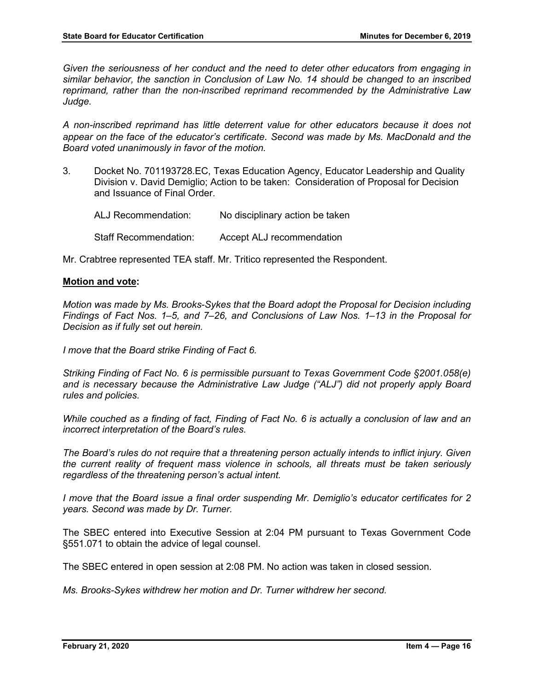*Given the seriousness of her conduct and the need to deter other educators from engaging in similar behavior, the sanction in Conclusion of Law No. 14 should be changed to an inscribed reprimand, rather than the non-inscribed reprimand recommended by the Administrative Law Judge.* 

*A non-inscribed reprimand has little deterrent value for other educators because it does not appear on the face of the educator's certificate. Second was made by Ms. MacDonald and the Board voted unanimously in favor of the motion.*

3. Docket No. 701193728.EC, Texas Education Agency, Educator Leadership and Quality Division v. David Demiglio; Action to be taken: Consideration of Proposal for Decision and Issuance of Final Order.

| ALJ Recommendation:   | No disciplinary action be taken |
|-----------------------|---------------------------------|
| Staff Recommendation: | Accept ALJ recommendation       |

Mr. Crabtree represented TEA staff. Mr. Tritico represented the Respondent.

### **Motion and vote:**

*Motion was made by Ms. Brooks-Sykes that the Board adopt the Proposal for Decision including Findings of Fact Nos. 1–5, and 7–26, and Conclusions of Law Nos. 1–13 in the Proposal for Decision as if fully set out herein.*

*I move that the Board strike Finding of Fact 6.*

*Striking Finding of Fact No. 6 is permissible pursuant to Texas Government Code §2001.058(e) and is necessary because the Administrative Law Judge ("ALJ") did not properly apply Board rules and policies.*

*While couched as a finding of fact, Finding of Fact No. 6 is actually a conclusion of law and an incorrect interpretation of the Board's rules.*

*The Board's rules do not require that a threatening person actually intends to inflict injury. Given the current reality of frequent mass violence in schools, all threats must be taken seriously regardless of the threatening person's actual intent.*

*I move that the Board issue a final order suspending Mr. Demiglio's educator certificates for 2 years. Second was made by Dr. Turner.*

The SBEC entered into Executive Session at 2:04 PM pursuant to Texas Government Code §551.071 to obtain the advice of legal counsel.

The SBEC entered in open session at 2:08 PM. No action was taken in closed session.

*Ms. Brooks-Sykes withdrew her motion and Dr. Turner withdrew her second.*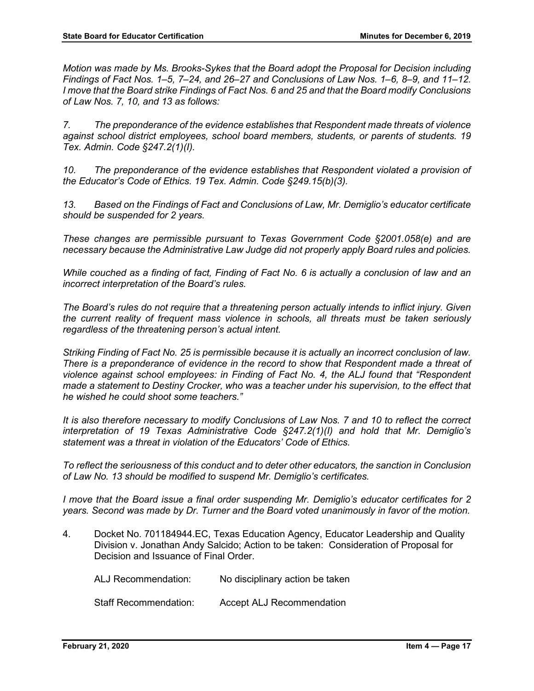*Motion was made by Ms. Brooks-Sykes that the Board adopt the Proposal for Decision including Findings of Fact Nos. 1–5, 7*–*24, and 26*–*27 and Conclusions of Law Nos. 1–6, 8–9, and 11–12. I move that the Board strike Findings of Fact Nos. 6 and 25 and that the Board modify Conclusions of Law Nos. 7, 10, and 13 as follows:*

*7. The preponderance of the evidence establishes that Respondent made threats of violence against school district employees, school board members, students, or parents of students. 19 Tex. Admin. Code §247.2(1)(I).*

*10. The preponderance of the evidence establishes that Respondent violated a provision of the Educator's Code of Ethics. 19 Tex. Admin. Code §249.15(b)(3).*

*13. Based on the Findings of Fact and Conclusions of Law, Mr. Demiglio's educator certificate should be suspended for 2 years.*

*These changes are permissible pursuant to Texas Government Code §2001.058(e) and are necessary because the Administrative Law Judge did not properly apply Board rules and policies.* 

*While couched as a finding of fact, Finding of Fact No. 6 is actually a conclusion of law and an incorrect interpretation of the Board's rules.*

*The Board's rules do not require that a threatening person actually intends to inflict injury. Given the current reality of frequent mass violence in schools, all threats must be taken seriously regardless of the threatening person's actual intent.* 

*Striking Finding of Fact No. 25 is permissible because it is actually an incorrect conclusion of law. There is a preponderance of evidence in the record to show that Respondent made a threat of violence against school employees: in Finding of Fact No. 4, the ALJ found that "Respondent made a statement to Destiny Crocker, who was a teacher under his supervision, to the effect that he wished he could shoot some teachers."* 

*It is also therefore necessary to modify Conclusions of Law Nos. 7 and 10 to reflect the correct interpretation of 19 Texas Administrative Code §247.2(1)(I) and hold that Mr. Demiglio's statement was a threat in violation of the Educators' Code of Ethics.* 

*To reflect the seriousness of this conduct and to deter other educators, the sanction in Conclusion of Law No. 13 should be modified to suspend Mr. Demiglio's certificates.* 

*I move that the Board issue a final order suspending Mr. Demiglio's educator certificates for 2 years. Second was made by Dr. Turner and the Board voted unanimously in favor of the motion.* 

4. Docket No. 701184944.EC, Texas Education Agency, Educator Leadership and Quality Division v. Jonathan Andy Salcido; Action to be taken: Consideration of Proposal for Decision and Issuance of Final Order.

| ALJ Recommendation: | No disciplinary action be taken |
|---------------------|---------------------------------|
|---------------------|---------------------------------|

Staff Recommendation: Accept ALJ Recommendation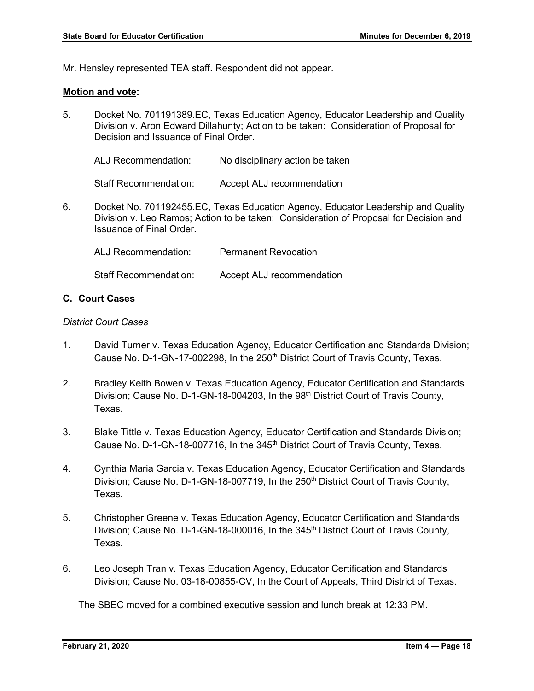Mr. Hensley represented TEA staff. Respondent did not appear.

#### **Motion and vote:**

5. Docket No. 701191389.EC, Texas Education Agency, Educator Leadership and Quality Division v. Aron Edward Dillahunty; Action to be taken: Consideration of Proposal for Decision and Issuance of Final Order.

ALJ Recommendation: No disciplinary action be taken

Staff Recommendation: Accept ALJ recommendation

6. Docket No. 701192455.EC, Texas Education Agency, Educator Leadership and Quality Division v. Leo Ramos; Action to be taken: Consideration of Proposal for Decision and Issuance of Final Order.

ALJ Recommendation: Permanent Revocation

Staff Recommendation: Accept ALJ recommendation

### **C. Court Cases**

### *District Court Cases*

- 1. David Turner v. Texas Education Agency, Educator Certification and Standards Division; Cause No. D-1-GN-17-002298, In the 250<sup>th</sup> District Court of Travis County, Texas.
- 2. Bradley Keith Bowen v. Texas Education Agency, Educator Certification and Standards Division; Cause No. D-1-GN-18-004203, In the 98<sup>th</sup> District Court of Travis County, Texas.
- 3. Blake Tittle v. Texas Education Agency, Educator Certification and Standards Division; Cause No. D-1-GN-18-007716, In the 345<sup>th</sup> District Court of Travis County, Texas.
- 4. Cynthia Maria Garcia v. Texas Education Agency, Educator Certification and Standards Division; Cause No. D-1-GN-18-007719, In the 250<sup>th</sup> District Court of Travis County, Texas.
- 5. Christopher Greene v. Texas Education Agency, Educator Certification and Standards Division; Cause No.  $D$ -1-GN-18-000016, In the 345<sup>th</sup> District Court of Travis County, Texas.
- 6. Leo Joseph Tran v. Texas Education Agency, Educator Certification and Standards Division; Cause No. 03-18-00855-CV, In the Court of Appeals, Third District of Texas.

The SBEC moved for a combined executive session and lunch break at 12:33 PM.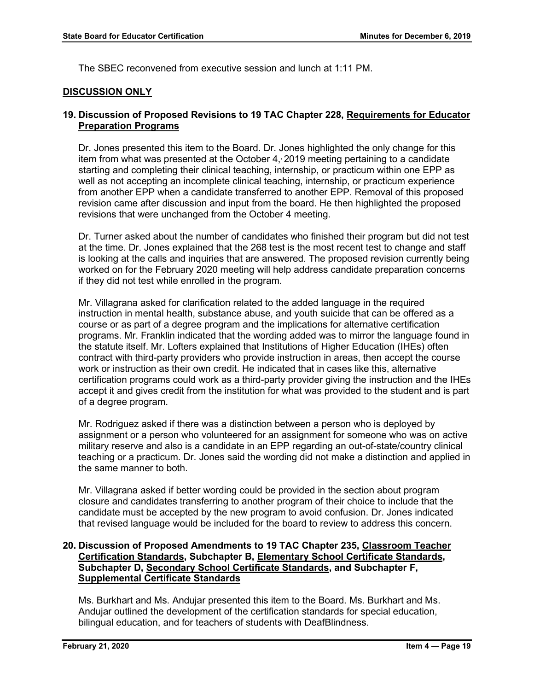The SBEC reconvened from executive session and lunch at 1:11 PM.

#### **DISCUSSION ONLY**

# **19. Discussion of Proposed Revisions to 19 TAC Chapter 228, Requirements for Educator Preparation Programs**

Dr. Jones presented this item to the Board. Dr. Jones highlighted the only change for this item from what was presented at the October 4, 2019 meeting pertaining to a candidate starting and completing their clinical teaching, internship, or practicum within one EPP as well as not accepting an incomplete clinical teaching, internship, or practicum experience from another EPP when a candidate transferred to another EPP. Removal of this proposed revision came after discussion and input from the board. He then highlighted the proposed revisions that were unchanged from the October 4 meeting.

Dr. Turner asked about the number of candidates who finished their program but did not test at the time. Dr. Jones explained that the 268 test is the most recent test to change and staff is looking at the calls and inquiries that are answered. The proposed revision currently being worked on for the February 2020 meeting will help address candidate preparation concerns if they did not test while enrolled in the program.

Mr. Villagrana asked for clarification related to the added language in the required instruction in mental health, substance abuse, and youth suicide that can be offered as a course or as part of a degree program and the implications for alternative certification programs. Mr. Franklin indicated that the wording added was to mirror the language found in the statute itself. Mr. Lofters explained that Institutions of Higher Education (IHEs) often contract with third-party providers who provide instruction in areas, then accept the course work or instruction as their own credit. He indicated that in cases like this, alternative certification programs could work as a third-party provider giving the instruction and the IHEs accept it and gives credit from the institution for what was provided to the student and is part of a degree program.

Mr. Rodriguez asked if there was a distinction between a person who is deployed by assignment or a person who volunteered for an assignment for someone who was on active military reserve and also is a candidate in an EPP regarding an out-of-state/country clinical teaching or a practicum. Dr. Jones said the wording did not make a distinction and applied in the same manner to both.

Mr. Villagrana asked if better wording could be provided in the section about program closure and candidates transferring to another program of their choice to include that the candidate must be accepted by the new program to avoid confusion. Dr. Jones indicated that revised language would be included for the board to review to address this concern.

# **20. Discussion of Proposed Amendments to 19 TAC Chapter 235, Classroom Teacher Certification Standards, Subchapter B, Elementary School Certificate Standards, Subchapter D, Secondary School Certificate Standards, and Subchapter F, Supplemental Certificate Standards**

Ms. Burkhart and Ms. Andujar presented this item to the Board. Ms. Burkhart and Ms. Andujar outlined the development of the certification standards for special education, bilingual education, and for teachers of students with DeafBlindness.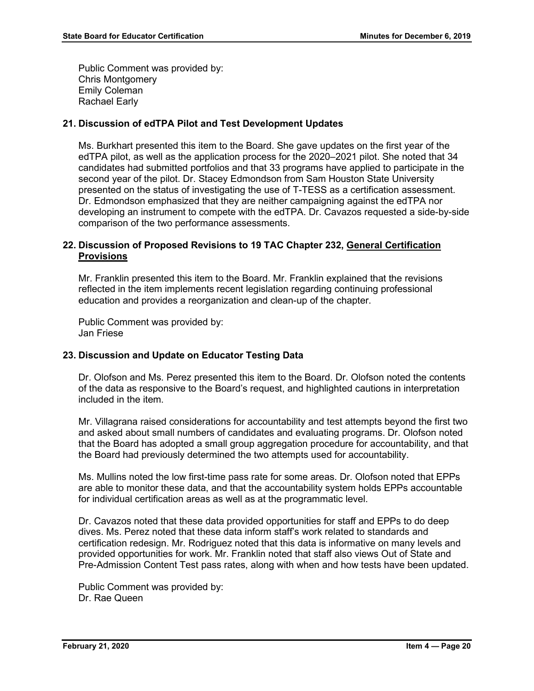Public Comment was provided by: Chris Montgomery Emily Coleman Rachael Early

### **21. Discussion of edTPA Pilot and Test Development Updates**

Ms. Burkhart presented this item to the Board. She gave updates on the first year of the edTPA pilot, as well as the application process for the 2020–2021 pilot. She noted that 34 candidates had submitted portfolios and that 33 programs have applied to participate in the second year of the pilot. Dr. Stacey Edmondson from Sam Houston State University presented on the status of investigating the use of T-TESS as a certification assessment. Dr. Edmondson emphasized that they are neither campaigning against the edTPA nor developing an instrument to compete with the edTPA. Dr. Cavazos requested a side-by-side comparison of the two performance assessments.

### **22. Discussion of Proposed Revisions to 19 TAC Chapter 232, General Certification Provisions**

Mr. Franklin presented this item to the Board. Mr. Franklin explained that the revisions reflected in the item implements recent legislation regarding continuing professional education and provides a reorganization and clean-up of the chapter.

Public Comment was provided by: Jan Friese

# **23. Discussion and Update on Educator Testing Data**

Dr. Olofson and Ms. Perez presented this item to the Board. Dr. Olofson noted the contents of the data as responsive to the Board's request, and highlighted cautions in interpretation included in the item.

Mr. Villagrana raised considerations for accountability and test attempts beyond the first two and asked about small numbers of candidates and evaluating programs. Dr. Olofson noted that the Board has adopted a small group aggregation procedure for accountability, and that the Board had previously determined the two attempts used for accountability.

Ms. Mullins noted the low first-time pass rate for some areas. Dr. Olofson noted that EPPs are able to monitor these data, and that the accountability system holds EPPs accountable for individual certification areas as well as at the programmatic level.

Dr. Cavazos noted that these data provided opportunities for staff and EPPs to do deep dives. Ms. Perez noted that these data inform staff's work related to standards and certification redesign. Mr. Rodriguez noted that this data is informative on many levels and provided opportunities for work. Mr. Franklin noted that staff also views Out of State and Pre-Admission Content Test pass rates, along with when and how tests have been updated.

Public Comment was provided by: Dr. Rae Queen